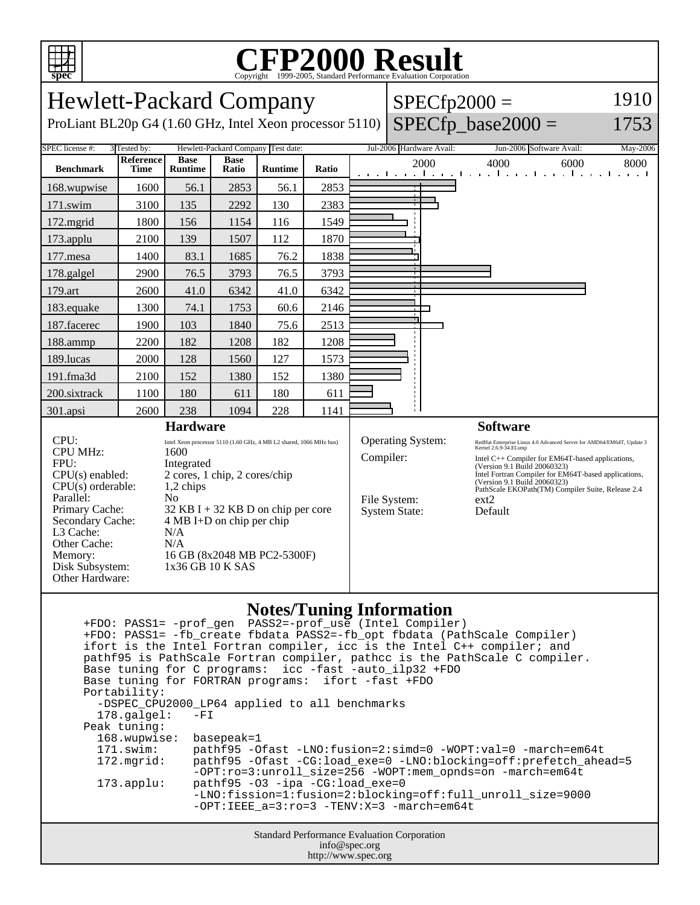

## **CFP2000 Result** Copyright ©1999-2005, Standard Performance Evaluation Corporation

| <b>Hewlett-Packard Company</b>                                                                                                                                                                             |                                 |                                                                                                                                                                                                                                                                                                  |                                    |         |       |                          | $SPECfp2000 =$                                                                | 1910                 |                                                                                                                                                                                                                                                                                                                                                    |      |
|------------------------------------------------------------------------------------------------------------------------------------------------------------------------------------------------------------|---------------------------------|--------------------------------------------------------------------------------------------------------------------------------------------------------------------------------------------------------------------------------------------------------------------------------------------------|------------------------------------|---------|-------|--------------------------|-------------------------------------------------------------------------------|----------------------|----------------------------------------------------------------------------------------------------------------------------------------------------------------------------------------------------------------------------------------------------------------------------------------------------------------------------------------------------|------|
| ProLiant BL20p G4 (1.60 GHz, Intel Xeon processor 5110)                                                                                                                                                    |                                 |                                                                                                                                                                                                                                                                                                  |                                    |         |       |                          |                                                                               | $SPECfp\_base2000 =$ | 1753                                                                                                                                                                                                                                                                                                                                               |      |
| <b>SPEC</b> license #:<br>3 Tested by:                                                                                                                                                                     |                                 |                                                                                                                                                                                                                                                                                                  | Hewlett-Packard Company Test date: |         |       | Jul-2006 Hardware Avail: | Jun-2006 Software Avail:                                                      | May-2006             |                                                                                                                                                                                                                                                                                                                                                    |      |
| <b>Benchmark</b>                                                                                                                                                                                           | <b>Reference</b><br><b>Time</b> | <b>Base</b><br><b>Runtime</b>                                                                                                                                                                                                                                                                    | <b>Base</b><br>Ratio               | Runtime | Ratio |                          |                                                                               | 2000                 | 4000<br>6000<br>المتواطن وبالمتواطن والمتواطن والمتواطن والمتو                                                                                                                                                                                                                                                                                     | 8000 |
| 168.wupwise                                                                                                                                                                                                | 1600                            | 56.1                                                                                                                                                                                                                                                                                             | 2853                               | 56.1    | 2853  |                          |                                                                               |                      |                                                                                                                                                                                                                                                                                                                                                    |      |
| 171.swim                                                                                                                                                                                                   | 3100                            | 135                                                                                                                                                                                                                                                                                              | 2292                               | 130     | 2383  |                          |                                                                               |                      |                                                                                                                                                                                                                                                                                                                                                    |      |
| 172.mgrid                                                                                                                                                                                                  | 1800                            | 156                                                                                                                                                                                                                                                                                              | 1154                               | 116     | 1549  |                          |                                                                               |                      |                                                                                                                                                                                                                                                                                                                                                    |      |
| 173.applu                                                                                                                                                                                                  | 2100                            | 139                                                                                                                                                                                                                                                                                              | 1507                               | 112     | 1870  |                          |                                                                               |                      |                                                                                                                                                                                                                                                                                                                                                    |      |
| 177.mesa                                                                                                                                                                                                   | 1400                            | 83.1                                                                                                                                                                                                                                                                                             | 1685                               | 76.2    | 1838  |                          |                                                                               |                      |                                                                                                                                                                                                                                                                                                                                                    |      |
| 178.galgel                                                                                                                                                                                                 | 2900                            | 76.5                                                                                                                                                                                                                                                                                             | 3793                               | 76.5    | 3793  |                          |                                                                               |                      |                                                                                                                                                                                                                                                                                                                                                    |      |
| 179.art                                                                                                                                                                                                    | 2600                            | 41.0                                                                                                                                                                                                                                                                                             | 6342                               | 41.0    | 6342  |                          |                                                                               |                      |                                                                                                                                                                                                                                                                                                                                                    |      |
| 183.equake                                                                                                                                                                                                 | 1300                            | 74.1                                                                                                                                                                                                                                                                                             | 1753                               | 60.6    | 2146  |                          |                                                                               |                      |                                                                                                                                                                                                                                                                                                                                                    |      |
| 187.facerec                                                                                                                                                                                                | 1900                            | 103                                                                                                                                                                                                                                                                                              | 1840                               | 75.6    | 2513  |                          |                                                                               |                      |                                                                                                                                                                                                                                                                                                                                                    |      |
| 188.ammp                                                                                                                                                                                                   | 2200                            | 182                                                                                                                                                                                                                                                                                              | 1208                               | 182     | 1208  |                          |                                                                               |                      |                                                                                                                                                                                                                                                                                                                                                    |      |
| 189.lucas                                                                                                                                                                                                  | 2000                            | 128                                                                                                                                                                                                                                                                                              | 1560                               | 127     | 1573  |                          |                                                                               |                      |                                                                                                                                                                                                                                                                                                                                                    |      |
| 191.fma3d                                                                                                                                                                                                  | 2100                            | 152                                                                                                                                                                                                                                                                                              | 1380                               | 152     | 1380  |                          |                                                                               |                      |                                                                                                                                                                                                                                                                                                                                                    |      |
| 200.sixtrack                                                                                                                                                                                               | 1100                            | 180                                                                                                                                                                                                                                                                                              | 611                                | 180     | 611   |                          |                                                                               |                      |                                                                                                                                                                                                                                                                                                                                                    |      |
| 301.apsi                                                                                                                                                                                                   | 2600                            | 238                                                                                                                                                                                                                                                                                              | 1094                               | 228     | 1141  |                          |                                                                               |                      |                                                                                                                                                                                                                                                                                                                                                    |      |
| <b>Hardware</b>                                                                                                                                                                                            |                                 |                                                                                                                                                                                                                                                                                                  |                                    |         |       | <b>Software</b>          |                                                                               |                      |                                                                                                                                                                                                                                                                                                                                                    |      |
| CPU:<br><b>CPU MHz:</b><br>FPU:<br>CPU(s) enabled:<br>$CPU(s)$ orderable:<br>Parallel:<br>Primary Cache:<br>Secondary Cache:<br>L3 Cache:<br>Other Cache:<br>Memory:<br>Disk Subsystem:<br>Other Hardware: |                                 | Intel Xeon processor 5110 (1.60 GHz, 4 MB L2 shared, 1066 MHz bus)<br>1600<br>Integrated<br>2 cores, 1 chip, 2 cores/chip<br>1,2 chips<br>N <sub>o</sub><br>$32$ KB I + 32 KB D on chip per core<br>$4 MB I+D$ on chip per chip<br>N/A<br>N/A<br>16 GB (8x2048 MB PC2-5300F)<br>1x36 GB 10 K SAS |                                    |         |       |                          | <b>Operating System:</b><br>Compiler:<br>File System:<br><b>System State:</b> |                      | RedHat Enterprise Linux 4.0 Advanced Server for AMD64/EM64T, Update 3<br>Kernel 2.6.9-34.ELsmp<br>Intel C++ Compiler for EM64T-based applications,<br>(Version 9.1 Build 20060323)<br>Intel Fortran Compiler for EM64T-based applications,<br>(Version 9.1 Build 20060323)<br>PathScale EKOPath(TM) Compiler Suite, Release 2.4<br>ext2<br>Default |      |

## **Notes/Tuning Information**

Standard Performance Evaluation Corporation info@spec.org +FDO: PASS1= -prof\_gen PASS2=-prof\_use (Intel Compiler) +FDO: PASS1= -fb\_create fbdata PASS2=-fb\_opt fbdata (PathScale Compiler) ifort is the Intel Fortran compiler, icc is the Intel C++ compiler; and pathf95 is PathScale Fortran compiler, pathcc is the PathScale C compiler. Base tuning for C programs: icc -fast -auto\_ilp32 +FDO Base tuning for FORTRAN programs: ifort -fast +FDO Portability: -DSPEC\_CPU2000\_LP64 applied to all benchmarks<br>178.galgel: -FI  $178.galgel:$  Peak tuning: 168.wupwise: basepeak=1 171.swim: pathf95 -Ofast -LNO:fusion=2:simd=0 -WOPT:val=0 -march=em64t 172.mgrid: pathf95 -Ofast -CG:load\_exe=0 -LNO:blocking=off:prefetch\_ahead=5 -OPT:ro=3:unroll\_size=256 -WOPT:mem\_opnds=on -march=em64t 173.applu: pathf95 -O3 -ipa -CG:load\_exe=0 -LNO:fission=1:fusion=2:blocking=off:full\_unroll\_size=9000 -OPT:IEEE\_a=3:ro=3 -TENV:X=3 -march=em64t

http://www.spec.org